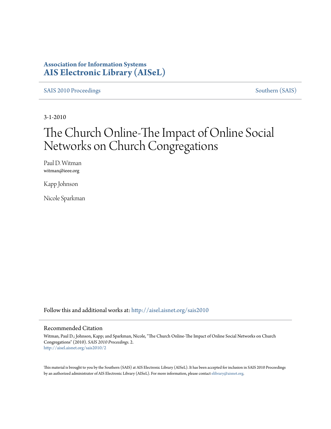### **Association for Information Systems [AIS Electronic Library \(AISeL\)](http://aisel.aisnet.org?utm_source=aisel.aisnet.org%2Fsais2010%2F2&utm_medium=PDF&utm_campaign=PDFCoverPages)**

[SAIS 2010 Proceedings](http://aisel.aisnet.org/sais2010?utm_source=aisel.aisnet.org%2Fsais2010%2F2&utm_medium=PDF&utm_campaign=PDFCoverPages) [Southern \(SAIS\)](http://aisel.aisnet.org/sais?utm_source=aisel.aisnet.org%2Fsais2010%2F2&utm_medium=PDF&utm_campaign=PDFCoverPages)

3-1-2010

# The Church Online-The Impact of Online Social Networks on Church Congregations

Paul D. Witman witman@ieee.org

Kapp Johnson

Nicole Sparkman

Follow this and additional works at: [http://aisel.aisnet.org/sais2010](http://aisel.aisnet.org/sais2010?utm_source=aisel.aisnet.org%2Fsais2010%2F2&utm_medium=PDF&utm_campaign=PDFCoverPages)

#### Recommended Citation

Witman, Paul D.; Johnson, Kapp; and Sparkman, Nicole, "The Church Online-The Impact of Online Social Networks on Church Congregations" (2010). *SAIS 2010 Proceedings*. 2. [http://aisel.aisnet.org/sais2010/2](http://aisel.aisnet.org/sais2010/2?utm_source=aisel.aisnet.org%2Fsais2010%2F2&utm_medium=PDF&utm_campaign=PDFCoverPages)

This material is brought to you by the Southern (SAIS) at AIS Electronic Library (AISeL). It has been accepted for inclusion in SAIS 2010 Proceedings by an authorized administrator of AIS Electronic Library (AISeL). For more information, please contact [elibrary@aisnet.org](mailto:elibrary@aisnet.org%3E).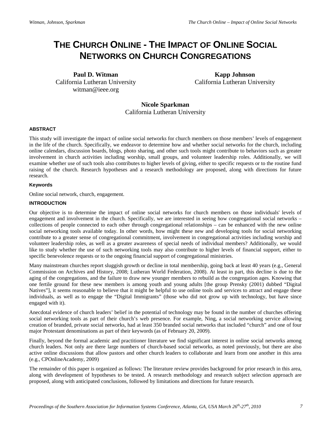## **THE CHURCH ONLINE - THE IMPACT OF ONLINE SOCIAL NETWORKS ON CHURCH CONGREGATIONS**

**Paul D. Witman** California Lutheran University witman@ieee.org

**Kapp Johnson** California Lutheran University

**Nicole Sparkman** California Lutheran University

#### **ABSTRACT**

This study will investigate the impact of online social networks for church members on those members' levels of engagement in the life of the church. Specifically, we endeavor to determine how and whether social networks for the church, including online calendars, discussion boards, blogs, photo sharing, and other such tools might contribute to behaviors such as greater involvement in church activities including worship, small groups, and volunteer leadership roles. Additionally, we will examine whether use of such tools also contributes to higher levels of giving, either to specific requests or to the routine fund raising of the church. Research hypotheses and a research methodology are proposed, along with directions for future research.

#### **Keywords**

Online social network, church, engagement.

#### **INTRODUCTION**

Our objective is to determine the impact of online social networks for church members on those individuals' levels of engagement and involvement in the church. Specifically, we are interested in seeing how congregational social networks – collections of people connected to each other through congregational relationships – can be enhanced with the new online social networking tools available today. In other words, how might these new and developing tools for social networking contribute to a greater sense of congregational commitment, involvement in congregational activities including worship and volunteer leadership roles, as well as a greater awareness of special needs of individual members? Additionally, we would like to study whether the use of such networking tools may also contribute to higher levels of financial support, either to specific benevolence requests or to the ongoing financial support of congregational ministries.

Many mainstream churches report sluggish growth or decline in total membership, going back at least 40 years (e.g., General Commission on Archives and History, 2008; Lutheran World Federation, 2008). At least in part, this decline is due to the aging of the congregations, and the failure to draw new younger members to rebuild as the congregation ages. Knowing that one fertile ground for these new members is among youth and young adults [the group Prensky (2001) dubbed "Digital Natives"], it seems reasonable to believe that it might be helpful to use online tools and services to attract and engage these individuals, as well as to engage the "Digital Immigrants" (those who did not grow up with technology, but have since engaged with it).

Anecdotal evidence of church leaders' belief in the potential of technology may be found in the number of churches offering social networking tools as part of their church's web presence. For example, Ning, a social networking service allowing creation of branded, private social networks, had at least 350 branded social networks that included "church" and one of four major Protestant denominations as part of their keywords (as of February 20, 2009).

Finally, beyond the formal academic and practitioner literature we find significant interest in online social networks among church leaders. Not only are there large numbers of church-based social networks, as noted previously, but there are also active online discussions that allow pastors and other church leaders to collaborate and learn from one another in this area (e.g., CPOnlineAcademy, 2009)

The remainder of this paper is organized as follows: The literature review provides background for prior research in this area, along with development of hypotheses to be tested. A research methodology and research subject selection approach are proposed, along with anticipated conclusions, followed by limitations and directions for future research.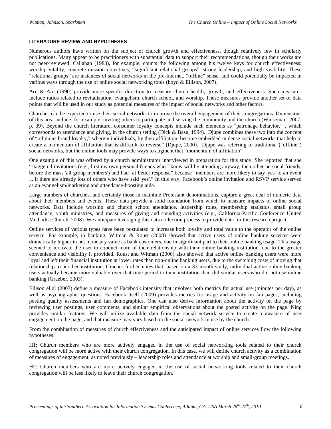#### **LITERATURE REVIEW AND HYPOTHESES**

Numerous authors have written on the subject of church growth and effectiveness, though relatively few in scholarly publications. Many appear to be practitioners with substantial data to support their recommendations, though their works are not peer-reviewed. Callahan (1983), for example, counts the following among his twelve keys for church effectiveness: worship vitality, concrete mission objectives, "significant relational groups", strong leadership, and high visibility. These "relational groups" are instances of social networks in the pre-Internet, "offline" sense, and could potentially be impacted in various ways through the use of online social networking tools (boyd & Ellison, 2007).

Arn & Arn (1990) provide more specific direction to measure church health, growth, and effectiveness. Such measures include ratios related to revitalization, evangelism, church school, and worship. These measures provide another set of data points that will be used in our study as potential measures of the impact of social networks and other factors.

Churches can be expected to use their social networks to improve the overall engagement of their congregations. Dimensions of this area include, for example, inviting others to participate and serving the community and the church (Winseman, 2007, p. 39). Beyond the church literature, consumer loyalty concepts include such elements as "patronage behavior," , which corresponds to attendance and giving, in the church setting (Dick & Basu, 1994). Djupe combines these two into the concept of "religious brand loyalty," wherein individuals, by their affiliation, become embedded in dense social networks that help to create a momentum of affiliation that is difficult to reverse" (Djupe, 2000). Djupe was referring to traditional ("offline") social networks, but the online tools may provide ways to augment that "momentum of affiliation".

One example of this was offered by a church administrator interviewed in preparation for this study. She reported that she "staggered invitations (e.g., first my own personal friends who I know will be attending anyway, then other personal friends, before the mass 'all group members') and had [a] better response" because "members are more likely to say 'yes' to an event ... if there are already lots of others who have said 'yes'." In this way, Facebook's online invitation and RSVP service served as an evangelism/marketing and attendance-boosting aide.

Large numbers of churches, and certainly those in mainline Protestant denominations, capture a great deal of numeric data about their members and events. These data provide a solid foundation from which to measure impacts of online social networks. Data include worship and church school attendance, leadership roles, membership statistics, small group attendance, youth ministries, and measures of giving and spending activities (e.g., California-Pacific Conference United Methodist Church, 2008). We anticipate leveraging this data collection process to provide data for this research project.

Online services of various types have been postulated to increase both loyalty and total value to the operator of the online service. For example, in banking, Witman & Roust (2008) showed that active users of online banking services were dramatically higher in net monetary value as bank customers, due in significant part to their online banking usage. This usage seemed to motivate the user to conduct more of their relationship with their online banking institution, due to the greater convenience and visibility it provided. Roust and Witman (2006) also showed that active online banking users were more loyal and left their financial institution at lower rates than non-online banking users, due to the switching costs of moving that relationship to another institution. Graeber further notes that, based on a 33 month study, individual active online banking users actually became more valuable over that time period to their institution than did similar users who did not use online banking (Graeber, 2003).

Ellison el al (2007) define a measure of Facebook intensity that involves both metrics for actual use (minutes per day), as well as psychographic questions. Facebook itself (2009) provides metrics for usage and activity on fan pages, including posting quality assessments and fan demographics. One can also derive information about the activity on the page by reviewing user postings, user comments, and similar empirical observations about the posted activity on the page. Ning provides similar features. We will utilize available data from the social network service to create a measure of user engagement on the page, and that measure may vary based on the social network in use by the church.

From the combination of measures of church effectiveness and the anticipated impact of online services flow the following hypotheses:

H1: Church members who are more actively engaged in the use of social networking tools related to their church congregation will be more active with their church congregation. In this case, we will define church activity as a combination of measures of engagement, as noted previously – leadership roles and attendance at worship and small-group meetings.

H2: Church members who are more actively engaged in the use of social networking tools related to their church congregation will be less likely to leave their church congregation.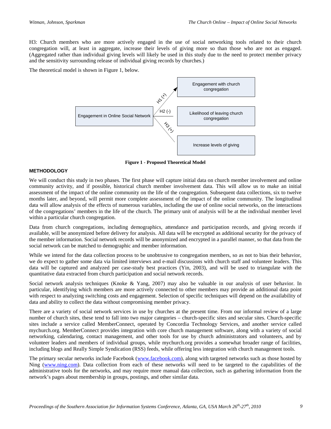H3: Church members who are more actively engaged in the use of social networking tools related to their church congregation will, at least in aggregate, increase their levels of giving more so than those who are not as engaged. (Aggregated rather than individual giving levels will likely be used in this study due to the need to protect member privacy and the sensitivity surrounding release of individual giving records by churches.)

The theoretical model is shown in Figure 1, below.



**Figure 1 - Proposed Theoretical Model**

#### **METHODOLOGY**

We will conduct this study in two phases. The first phase will capture initial data on church member involvement and online community activity, and if possible, historical church member involvement data. This will allow us to make an initial assessment of the impact of the online community on the life of the congregation. Subsequent data collections, six to twelve months later, and beyond, will permit more complete assessment of the impact of the online community. The longitudinal data will allow analysis of the effects of numerous variables, including the use of online social networks, on the interactions of the congregations' members in the life of the church. The primary unit of analysis will be at the individual member level within a particular church congregation.

Data from church congregations, including demographics, attendance and participation records, and giving records if available, will be anonymized before delivery for analysis. All data will be encrypted as additional security for the privacy of the member information. Social network records will be anonymized and encrypted in a parallel manner, so that data from the social network can be matched to demographic and member information.

While we intend for the data collection process to be unobtrusive to congregation members, so as not to bias their behavior, we do expect to gather some data via limited interviews and e-mail discussions with church staff and volunteer leaders. This data will be captured and analyzed per case-study best practices (Yin, 2003), and will be used to triangulate with the quantitative data extracted from church participation and social network records.

Social network analysis techniques (Knoke & Yang, 2007) may also be valuable in our analysis of user behavior. In particular, identifying which members are more actively connected to other members may provide an additional data point with respect to analyzing switching costs and engagement. Selection of specific techniques will depend on the availability of data and ability to collect the data without compromising member privacy.

There are a variety of social network services in use by churches at the present time. From our informal review of a large number of church sites, these tend to fall into two major categories – church-specific sites and secular sites. Church-specific sites include a service called MemberConnect, operated by Concordia Technology Services, and another service called mychurch.org. MemberConnect provides integration with core church management software, along with a variety of social networking, calendaring, contact management, and other tools for use by church administrators and volunteers, and by volunteer leaders and members of individual groups, while mychurch.org provides a somewhat broader range of facilities, including blogs and Really Simple Syndication (RSS) feeds, while offering less integration with church management tools.

The primary secular networks include Facebook [\(www.facebook.com\)](http://www.facebook.com/), along with targeted networks such as those hosted by Ning [\(www.ning.com\)](http://www.ning.com/). Data collection from each of these networks will need to be targeted to the capabilities of the administrative tools for the networks, and may require more manual data collection, such as gathering information from the network's pages about membership in groups, postings, and other similar data.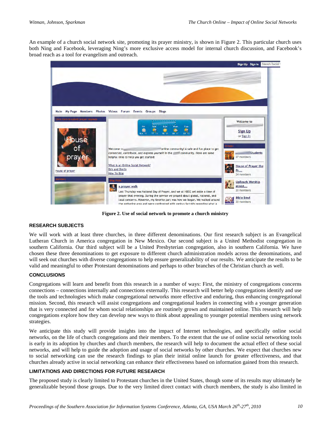An example of a church social network site, promoting its prayer ministry, is shown in Figure 2. This particular church uses both Ning and Facebook, leveraging Ning's more exclusive access model for internal church discussion, and Facebook's broad reach as a tool for evangelism and outreach.



**Figure 2. Use of social network to promote a church ministry**

#### **RESEARCH SUBJECTS**

We will work with at least three churches, in three different denominations. Our first research subject is an Evangelical Lutheran Church in America congregation in New Mexico. Our second subject is a United Methodist congregation in southern California. Our third subject will be a United Presbyterian congregation, also in southern California. We have chosen these three denominations to get exposure to different church administration models across the denominations, and will seek out churches with diverse congregations to help ensure generalizability of our results. We anticipate the results to be valid and meaningful to other Protestant denominations and perhaps to other branches of the Christian church as well.

#### **CONCLUSIONS**

Congregations will learn and benefit from this research in a number of ways: First, the ministry of congregations concerns connections – connections internally and connections externally. This research will better help congregations identify and use the tools and technologies which make congregational networks more effective and enduring, thus enhancing congregational mission. Second, this research will assist congregations and congregational leaders in connecting with a younger generation that is very connected and for whom social relationships are routinely grown and maintained online. This research will help congregations explore how they can develop new ways to think about appealing to younger potential members using network strategies.

We anticipate this study will provide insights into the impact of Internet technologies, and specifically online social networks, on the life of church congregations and their members. To the extent that the use of online social networking tools is early in its adoption by churches and church members, the research will help to document the actual effect of these social networks, and will help to guide the adoption and usage of social networks by other churches. We expect that churches new to social networking can use the research findings to plan their initial online launch for greater effectiveness, and that churches already active in social networking can enhance their effectiveness based on information gained from this research.

#### **LIMITATIONS AND DIRECTIONS FOR FUTURE RESEARCH**

The proposed study is clearly limited to Protestant churches in the United States, though some of its results may ultimately be generalizable beyond those groups. Due to the very limited direct contact with church members, the study is also limited in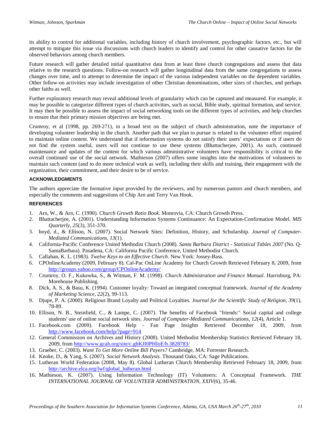its ability to control for additional variables, including history of church involvement, psychographic factors, etc., but will attempt to mitigate this issue via discussions with church leaders to identify and control for other causative factors for the observed behaviors among church members.

Future research will gather detailed initial quantitative data from at least three church congregations and assess that data relative to the research questions. Follow-on research will gather longitudinal data from the same congregations to assess changes over time, and to attempt to determine the impact of the various independent variables on the dependent variables. Other follow-on activities may include investigation of other Christian denominations, other sizes of churches, and perhaps other faiths as well.

Further exploratory research may reveal additional levels of granularity which can be captured and measured. For example, it may be possible to categorize different types of church activities, such as social, Bible study, spiritual formation, and service. It may then be possible to assess the impact of social networking tools on the different types of activities, and help churches to ensure that their primary mission objectives are being met.

Crumroy, et al (1998, pp. 269-271), in a broad text on the subject of church administration, note the importance of developing volunteer leadership in the church. Another path that we plan to pursue is related to the volunteer effort required to maintain online content. We understand that if information systems do not satisfy their users' expectations or if users do not find the system useful, users will not continue to use these systems (Bhattacherjee, 2001). As such, continued maintenance and updates of the content for which various administrative volunteers have responsibility is critical to the overall continued use of the social network. Mathieson (2007) offers some insights into the motivations of volunteers to maintain such content (and to do more technical work as well), including their skills and training, their engagement with the organization, their commitment, and their desire to be of service.

#### **ACKNOWLEDGMENTS**

The authors appreciate the formative input provided by the reviewers, and by numerous pastors and church members, and especially the comments and suggestions of Chip Arn and Terry Van Hook.

#### **REFERENCES**

- 1. Arn, W., & Arn, C. (1990). *Church Growth Ratio Book*. Monrovia, CA: Church Growth Press.
- 2. Bhattacherjee, A. (2001). Understanding Information Systems Continuance: An Expectation-Confirmation Model. *MIS Quarterly, 25*(3), 351-370.
- 3. boyd, d., & Ellison, N. (2007). Social Network Sites: Definition, History, and Scholarship. *Journal of Computer-Mediated Communications, 13*(1).
- 4. California-Pacific Conference United Methodist Church (2008). *Santa Barbara District Statistical Tables 2007* (No. Q-SantaBarbara). Pasadena, CA: California Pacific Conference, United Methodist Church.
- 5. Callahan, K. L. (1983). *Twelve Keys to an Effective Church*. New York: Jossey-Bass.
- 6. CPOnlineAcademy (2009, February 8). Cal-Pac OnLine Academy for Church Growth Retrieved February 8, 2009, from <http://groups.yahoo.com/group/CPOnlineAcademy/>
- 7. Crumroy, O. F., Kukawka, S., & Witman, F. M. (1998). *Church Administration and Finance Manual*. Harrisburg, PA: Morehouse Publishing.
- 8. Dick, A. S., & Basu, K. (1994). Customer loyalty: Toward an integrated conceptual framework. *Journal of the Academy of Marketing Science, 22*(2), 99-113.
- 9. Djupe, P. A. (2000). Religious Brand Loyalty and Political Loyalties. *Journal for the Scientific Study of Religion, 39*(1), 78-89.
- 10. Ellison, N. B., Steinfield, C., & Lampe, C. (2007). The benefits of Facebook "friends:" Social capital and college students' use of online social network sites. *Journal of Computer-Mediated Communications, 12*(4), Article 1.
- 11. Facebook.com (2009). Facebook Help Fan Page Insights Retrieved December 18, 2009, from <http://www.facebook.com/help/?page=914>
- 12. General Commission on Archives and History (2008). United Methodist Membership Statistics Retrieved February 18, 2009, from<http://www.gcah.org/site/c.ghKJI0PHIoE/b.3828783/>
- 13. Graeber, C. (2003). *Want To Get More Online Bill Payers?* Cambridge, MA: Forrester Research.
- 14. Knoke, D., & Yang, S. (2007). *Social Network Analysis*. Thousand Oaks, CA: Sage Publications.
- 15. Lutheran World Federation (2008, May 8). Global Lutheran Church Membership Retrieved February 18, 2009, from [http://archive.elca.org/lwf/global\\_lutheran.html](http://archive.elca.org/lwf/global_lutheran.html)
- 16. Mathieson, K. (2007). Using Information Technology (IT) Volunteers: A Conceptual Framework. *THE INTERNATIONAL JOURNAL OF VOLUNTEER ADMINISTRATION, XXIV*(6), 35-46.